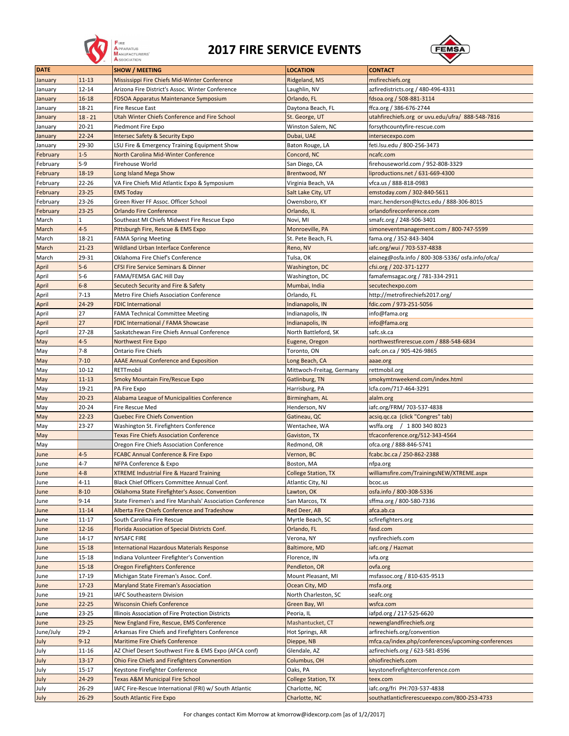

## **2017 FIRE SERVICE EVENTS**



| <b>DATE</b> |           | <b>SHOW / MEETING</b>                                     | <b>LOCATION</b>            | <b>CONTACT</b>                                     |
|-------------|-----------|-----------------------------------------------------------|----------------------------|----------------------------------------------------|
| January     | $11 - 13$ | Mississippi Fire Chiefs Mid-Winter Conference             | Ridgeland, MS              | msfirechiefs.org                                   |
| January     | $12 - 14$ | Arizona Fire District's Assoc. Winter Conference          | Laughlin, NV               | azfiredistricts.org / 480-496-4331                 |
| January     | $16 - 18$ | <b>FDSOA Apparatus Maintenance Symposium</b>              | Orlando, FL                | fdsoa.org / 508-881-3114                           |
| January     | $18 - 21$ | Fire Rescue East                                          | Daytona Beach, FL          | ffca.org / 386-676-2744                            |
| January     | $18 - 21$ | Utah Winter Chiefs Conference and Fire School             | St. George, UT             | utahfirechiefs.org or uvu.edu/ufra/ 888-548-7816   |
| January     | $20 - 21$ | Piedmont Fire Expo                                        | Winston Salem, NC          | forsythcountyfire-rescue.com                       |
| January     | $22 - 24$ | <b>Intersec Safety &amp; Security Expo</b>                | Dubai, UAE                 | intersecexpo.com                                   |
| January     | 29-30     | LSU Fire & Emergency Training Equipment Show              | Baton Rouge, LA            | feti.lsu.edu / 800-256-3473                        |
| February    | $1-5$     | North Carolina Mid-Winter Conference                      | Concord, NC                | ncafc.com                                          |
| February    | $5-9$     | Firehouse World                                           | San Diego, CA              | firehouseworld.com / 952-808-3329                  |
| February    | 18-19     | Long Island Mega Show                                     | Brentwood, NY              | liproductions.net / 631-669-4300                   |
| February    | 22-26     | VA Fire Chiefs Mid Atlantic Expo & Symposium              | Virginia Beach, VA         | vfca.us / 888-818-0983                             |
| February    | 23-25     | <b>EMS Today</b>                                          | Salt Lake City, UT         | emstoday.com / 302-840-5611                        |
| February    | $23 - 26$ | Green River FF Assoc. Officer School                      | Owensboro, KY              | marc.henderson@kctcs.edu / 888-306-8015            |
| February    | $23 - 25$ | <b>Orlando Fire Conference</b>                            | Orlando, IL                | orlandofireconference.com                          |
| March       | $\vert$ 1 | Southeast MI Chiefs Midwest Fire Rescue Expo              | Novi, MI                   | smafc.org / 248-506-3401                           |
| March       | $4 - 5$   | Pittsburgh Fire, Rescue & EMS Expo                        | Monroeville, PA            | simoneventmanagement.com / 800-747-5599            |
| March       | 18-21     | <b>FAMA Spring Meeting</b>                                | St. Pete Beach, FL         | fama.org / 352-843-3404                            |
| March       | $21 - 23$ | Wildland Urban Interface Conference                       | Reno, NV                   | iafc.org/wui / 703-537-4838                        |
| March       | 29-31     | Oklahoma Fire Chief's Conference                          | Tulsa, OK                  | elaineg@osfa.info / 800-308-5336/osfa.info/ofca/   |
| April       | $5-6$     | <b>CFSI Fire Service Seminars &amp; Dinner</b>            | Washington, DC             | cfsi.org / 202-371-1277                            |
| April       | $5-6$     | FAMA/FEMSA GAC Hill Day                                   | Washington, DC             | famafemsagac.org / 781-334-2911                    |
| April       | $6-8$     | Secutech Security and Fire & Safety                       | Mumbai, India              | secutechexpo.com                                   |
| April       | $7 - 13$  | Metro Fire Chiefs Association Conference                  | Orlando, FL                | http://metrofirechiefs2017.org/                    |
| April       | 24-29     | <b>FDIC International</b>                                 | Indianapolis, IN           | fdic.com / 973-251-5056                            |
| April       | 27        | <b>FAMA Technical Committee Meeting</b>                   | Indianapolis, IN           | info@fama.org                                      |
| April       | 27        | FDIC International / FAMA Showcase                        | Indianapolis, IN           | info@fama.org                                      |
| April       | $27 - 28$ | Saskatchewan Fire Chiefs Annual Conference                | North Battleford, SK       | safc.sk.ca                                         |
| May         | $4-5$     | Northwest Fire Expo                                       | Eugene, Oregon             | northwestfirerescue.com / 888-548-6834             |
| May         | $7-8$     | <b>Ontario Fire Chiefs</b>                                | Toronto, ON                | oafc.on.ca / 905-426-9865                          |
| May         | $7 - 10$  | <b>AAAE Annual Conference and Exposition</b>              | Long Beach, CA             | aaae.org                                           |
| May         | $10 - 12$ | RETTmobil                                                 | Mittwoch-Freitag, Germany  | rettmobil.org                                      |
| May         | $11 - 13$ | Smoky Mountain Fire/Rescue Expo                           | Gatlinburg, TN             | smokymtnweekend.com/index.html                     |
| May         | $19 - 21$ | PA Fire Expo                                              | Harrisburg, PA             | Icfa.com/717-464-3291                              |
| May         | $20 - 23$ | Alabama League of Municipalities Conference               | Birmingham, AL             | alalm.org                                          |
| May         | $20 - 24$ | Fire Rescue Med                                           | Henderson, NV              | iafc.org/FRM/ 703-537-4838                         |
| May         | $22 - 23$ | Quebec Fire Chiefs Convention                             | Gatineau, QC               | acsiq.qc.ca (click "Congres" tab)                  |
| May         | $23 - 27$ | Washington St. Firefighters Conference                    | Wentachee, WA              | wsffa.org / 1800 340 8023                          |
| May         |           | <b>Texas Fire Chiefs Association Conference</b>           | Gaviston, TX               | tfcaconference.org/512-343-4564                    |
| May         |           | Oregon Fire Chiefs Association Conference                 | Redmond, OR                | ofca.org / 888-846-5741                            |
| June        | $4-5$     | <b>FCABC Annual Conference &amp; Fire Expo</b>            | Vernon, BC                 | fcabc.bc.ca / 250-862-2388                         |
| June        | $4 - 7$   | NFPA Conference & Expo                                    | Boston, MA                 | nfpa.org                                           |
| June        | $4 - 8$   | <b>XTREME Industrial Fire &amp; Hazard Training</b>       | <b>College Station, TX</b> | williamsfire.com/TrainingsNEW/XTREME.aspx          |
| June        | $4 - 11$  | Black Chief Officers Committee Annual Conf.               | Atlantic City, NJ          | bcoc.us                                            |
| June        | $8 - 10$  | Oklahoma State Firefighter's Assoc. Convention            | Lawton, OK                 | osfa.info / 800-308-5336                           |
| June        | $9 - 14$  | State Firemen's and Fire Marshals' Association Conference | San Marcos, TX             | sffma.org / 800-580-7336                           |
| June        | $11 - 14$ | Alberta Fire Chiefs Conference and Tradeshow              | Red Deer, AB               | afca.ab.ca                                         |
| June        | $11 - 17$ | South Carolina Fire Rescue                                | Myrtle Beach, SC           | scfirefighters.org                                 |
| June        | $12 - 16$ | Florida Association of Special Districts Conf.            | Orlando, FL                | fasd.com                                           |
| June        | $14 - 17$ | <b>NYSAFC FIRE</b>                                        | Verona, NY                 | nysfirechiefs.com                                  |
| June        | $15 - 18$ | <b>International Hazardous Materials Response</b>         | Baltimore, MD              | iafc.org / Hazmat                                  |
| June        | $15 - 18$ | Indiana Volunteer Firefighter's Convention                | Florence, IN               | ivfa.org                                           |
| June        | $15 - 18$ | Oregon Firefighters Conference                            | Pendleton, OR              | ovfa.org                                           |
| June        | 17-19     | Michigan State Fireman's Assoc. Conf.                     | Mount Pleasant, MI         | msfassoc.org / 810-635-9513                        |
| June        | $17 - 23$ | Maryland State Fireman's Association                      | Ocean City, MD             | msfa.org                                           |
| June        | $19 - 21$ | IAFC Southeastern Division                                | North Charleston, SC       | seafc.org                                          |
| June        | $22 - 25$ | <b>Wisconsin Chiefs Conference</b>                        | Green Bay, WI              | wsfca.com                                          |
| June        | 23-25     | Illinois Association of Fire Protection Districts         | Peoria, IL                 | iafpd.org / 217-525-6620                           |
| June        | $23 - 25$ | New England Fire, Rescue, EMS Conference                  | Mashantucket, CT           | newenglandfirechiefs.org                           |
| June/July   | $29 - 2$  | Arkansas Fire Chiefs and Firefighters Conference          | Hot Springs, AR            | arfirechiefs.org/convention                        |
| July        | $9 - 12$  | Maritime Fire Chiefs Conference                           | Dieppe, NB                 | mfca.ca/index.php/conferences/upcoming-conferences |
| July        | $11 - 16$ | AZ Chief Desert Southwest Fire & EMS Expo (AFCA conf)     | Glendale, AZ               | azfirechiefs.org / 623-581-8596                    |
| July        | $13 - 17$ | Ohio Fire Chiefs and Firefighters Convnention             | Columbus, OH               | ohiofirechiefs.com                                 |
| July        | $15 - 17$ | Keystone Firefighter Conference                           | Oaks, PA                   | keystonefirefighterconference.com                  |
| July        | $24 - 29$ | Texas A&M Municipal Fire School                           | <b>College Station, TX</b> | teex.com                                           |
| July        | 26-29     | IAFC Fire-Rescue International (FRI) w/ South Atlantic    | Charlotte, NC              | iafc.org/fri PH:703-537-4838                       |
| July        | $26 - 29$ | South Atlantic Fire Expo                                  | Charlotte, NC              | southatlanticfirerescueexpo.com/800-253-4733       |